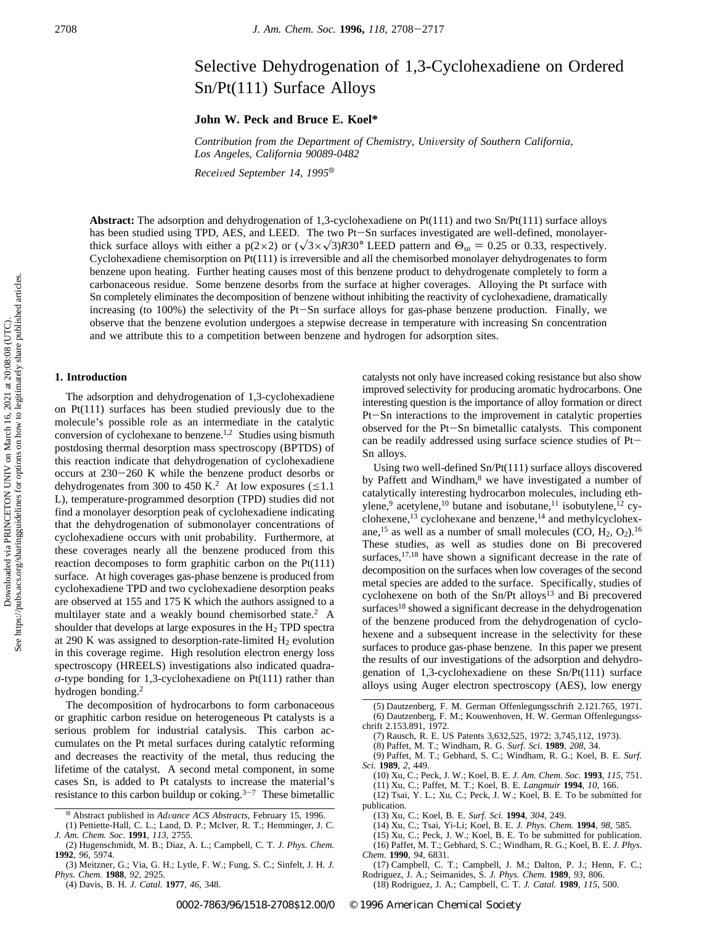# Selective Dehydrogenation of 1,3-Cyclohexadiene on Ordered Sn/Pt(111) Surface Alloys

**John W. Peck and Bruce E. Koel\***

*Contribution from the Department of Chemistry, University of Southern California, Los Angeles, California 90089-0482*

*Recei*V*ed September 14, 1995*<sup>X</sup>

**Abstract:** The adsorption and dehydrogenation of 1,3-cyclohexadiene on Pt(111) and two Sn/Pt(111) surface alloys has been studied using TPD, AES, and LEED. The two Pt-Sn surfaces investigated are well-defined, monolayerthick surface alloys with either a p(2×2) or  $(\sqrt{3} \times \sqrt{3})R30^\circ$  LEED pattern and  $\Theta_{\rm sn} = 0.25$  or 0.33, respectively. Cyclohexadiene chemisorption on Pt(111) is irreversible and all the chemisorbed monolayer dehydrogenates to form benzene upon heating. Further heating causes most of this benzene product to dehydrogenate completely to form a carbonaceous residue. Some benzene desorbs from the surface at higher coverages. Alloying the Pt surface with Sn completely eliminates the decomposition of benzene without inhibiting the reactivity of cyclohexadiene, dramatically increasing (to 100%) the selectivity of the Pt-Sn surface alloys for gas-phase benzene production. Finally, we observe that the benzene evolution undergoes a stepwise decrease in temperature with increasing Sn concentration and we attribute this to a competition between benzene and hydrogen for adsorption sites.

#### **1. Introduction**

Downloaded via PRINCETON UNIV on March 16, 2021 at 20:08:08 (UTC).<br>See https://pubs.acs.org/sharingguidelines for options on how to legitimately share published articles. See https://pubs.acs.org/sharingguidelines for options on how to legitimately share published articles.Downloaded via PRINCETON UNIV on March 16, 2021 at 20:08:08 (UTC).

The adsorption and dehydrogenation of 1,3-cyclohexadiene on Pt(111) surfaces has been studied previously due to the molecule's possible role as an intermediate in the catalytic conversion of cyclohexane to benzene.<sup>1,2</sup> Studies using bismuth postdosing thermal desorption mass spectroscopy (BPTDS) of this reaction indicate that dehydrogenation of cyclohexadiene occurs at 230-260 K while the benzene product desorbs or dehydrogenates from 300 to 450 K.<sup>2</sup> At low exposures ( $\leq 1.1$ ) L), temperature-programmed desorption (TPD) studies did not find a monolayer desorption peak of cyclohexadiene indicating that the dehydrogenation of submonolayer concentrations of cyclohexadiene occurs with unit probability. Furthermore, at these coverages nearly all the benzene produced from this reaction decomposes to form graphitic carbon on the Pt(111) surface. At high coverages gas-phase benzene is produced from cyclohexadiene TPD and two cyclohexadiene desorption peaks are observed at 155 and 175 K which the authors assigned to a multilayer state and a weakly bound chemisorbed state.2 A shoulder that develops at large exposures in the H2 TPD spectra at 290 K was assigned to desorption-rate-limited  $H_2$  evolution in this coverage regime. High resolution electron energy loss spectroscopy (HREELS) investigations also indicated quadra*σ*-type bonding for 1,3-cyclohexadiene on Pt(111) rather than hydrogen bonding.<sup>2</sup>

The decomposition of hydrocarbons to form carbonaceous or graphitic carbon residue on heterogeneous Pt catalysts is a serious problem for industrial catalysis. This carbon accumulates on the Pt metal surfaces during catalytic reforming and decreases the reactivity of the metal, thus reducing the lifetime of the catalyst. A second metal component, in some cases Sn, is added to Pt catalysts to increase the material's resistance to this carbon buildup or coking. $3-7$  These bimetallic catalysts not only have increased coking resistance but also show improved selectivity for producing aromatic hydrocarbons. One interesting question is the importance of alloy formation or direct Pt-Sn interactions to the improvement in catalytic properties observed for the Pt-Sn bimetallic catalysts. This component can be readily addressed using surface science studies of Pt-Sn alloys.

Using two well-defined Sn/Pt(111) surface alloys discovered by Paffett and Windham,<sup>8</sup> we have investigated a number of catalytically interesting hydrocarbon molecules, including ethylene,<sup>9</sup> acetylene,<sup>10</sup> butane and isobutane,<sup>11</sup> isobutylene,<sup>12</sup> cyclohexene,<sup>13</sup> cyclohexane and benzene,<sup>14</sup> and methylcyclohexane,<sup>15</sup> as well as a number of small molecules (CO,  $H_2$ , O<sub>2</sub>).<sup>16</sup> These studies, as well as studies done on Bi precovered surfaces,<sup>17,18</sup> have shown a significant decrease in the rate of decomposition on the surfaces when low coverages of the second metal species are added to the surface. Specifically, studies of cyclohexene on both of the Sn/Pt alloys<sup>13</sup> and Bi precovered surfaces<sup>18</sup> showed a significant decrease in the dehydrogenation of the benzene produced from the dehydrogenation of cyclohexene and a subsequent increase in the selectivity for these surfaces to produce gas-phase benzene. In this paper we present the results of our investigations of the adsorption and dehydrogenation of 1,3-cyclohexadiene on these Sn/Pt(111) surface alloys using Auger electron spectroscopy (AES), low energy

(5) Dautzenberg, F. M. German Offenlegungsschrift 2.121.765, 1971. (6) Dautzenberg, F. M.; Kouwenhoven, H. W. German Offenlegungsschrift 2.153.891, 1972.

(8) Paffet, M. T.; Windham, R. G. *Surf. Sci*. **1989**, *208*, 34.

(9) Paffet, M. T.; Gebhard, S. C.; Windham, R. G.; Koel, B. E. *Surf. Sci.* **1989**, *2*, 449.

- (10) Xu, C.; Peck, J. W.; Koel, B. E. *J. Am. Chem. Soc.* **1993**, *115*, 751. (11) Xu, C.; Paffet, M. T.; Koel, B. E. *Langmuir* **1994**, *10*, 166.
- (12) Tsai, Y. L.; Xu, C.; Peck, J. W.; Koel, B. E. To be submitted for publication.

(13) Xu, C.; Koel, B. E. *Surf. Sci.* **1994**, *304*, 249.

- (14) Xu, C.; Tsai, Yi-Li; Koel, B. E. *J. Phys. Chem.* **1994**, *98*, 585.
- (15) Xu, C.; Peck, J. W.; Koel, B. E. To be submitted for publication.
- (16) Paffet, M. T.; Gebhard, S. C.; Windham, R. G.; Koel, B. E. *J. Phys. Chem.* **1990**, *94*, 6831.
- (17) Campbell, C. T.; Campbell, J. M.; Dalton, P. J.; Henn, F. C.; Rodriguez, J. A.; Seimanides, S. *J. Phys. Chem.* **1989**, *93*, 806.
- (18) Rodriguez, J. A.; Campbell, C. T. *J. Catal.* **1989**, *115*, 500.

<sup>X</sup> Abstract published in *Ad*V*ance ACS Abstracts,* February 15, 1996.

<sup>(1)</sup> Pettiette-Hall, C. L.; Land, D. P.; McIver, R. T.; Hemminger, J. C. *J. Am. Chem. Soc*. **1991**, *113*, 2755.

<sup>(2)</sup> Hugenschmidt, M. B.; Diaz, A. L.; Campbell, C. T. *J. Phys. Chem.* **1992**, *96*, 5974.

<sup>(3)</sup> Meitzner, G.; Via, G. H.; Lytle, F. W.; Fung, S. C.; Sinfelt, J. H. *J. Phys. Chem.* **1988**, *92*, 2925.

<sup>(4)</sup> Davis, B. H. *J. Catal.* **1977**, *46*, 348.

<sup>(7)</sup> Rausch, R. E. US Patents 3,632,525, 1972; 3,745,112, 1973).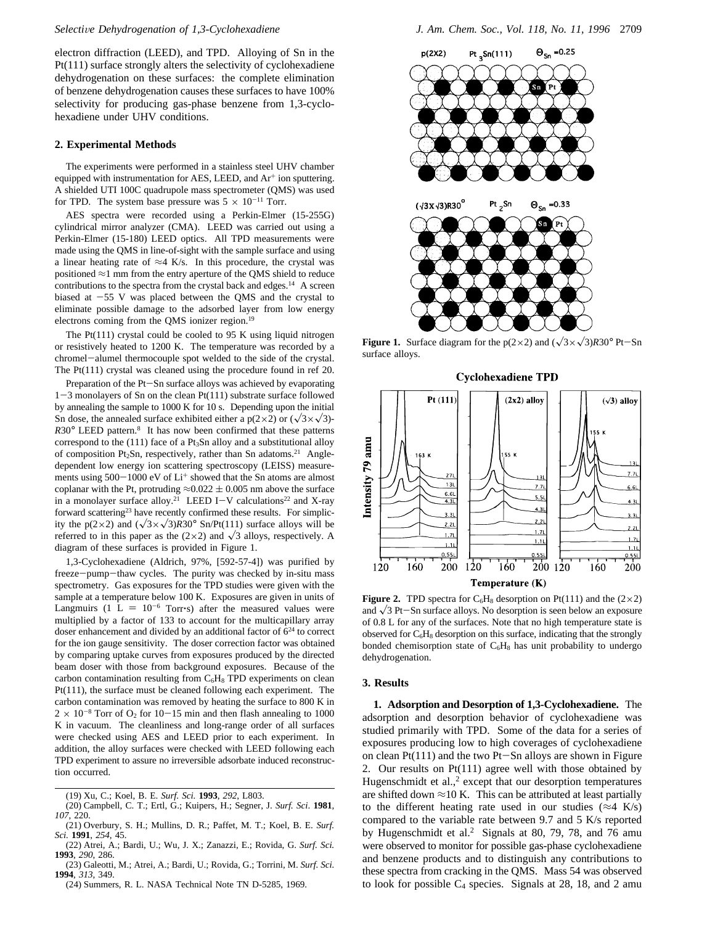electron diffraction (LEED), and TPD. Alloying of Sn in the Pt(111) surface strongly alters the selectivity of cyclohexadiene dehydrogenation on these surfaces: the complete elimination of benzene dehydrogenation causes these surfaces to have 100% selectivity for producing gas-phase benzene from 1,3-cyclohexadiene under UHV conditions.

### **2. Experimental Methods**

The experiments were performed in a stainless steel UHV chamber equipped with instrumentation for AES, LEED, and Ar<sup>+</sup> ion sputtering. A shielded UTI 100C quadrupole mass spectrometer (QMS) was used for TPD. The system base pressure was  $5 \times 10^{-11}$  Torr.

AES spectra were recorded using a Perkin-Elmer (15-255G) cylindrical mirror analyzer (CMA). LEED was carried out using a Perkin-Elmer (15-180) LEED optics. All TPD measurements were made using the QMS in line-of-sight with the sample surface and using a linear heating rate of  $\approx$ 4 K/s. In this procedure, the crystal was positioned ≈1 mm from the entry aperture of the QMS shield to reduce contributions to the spectra from the crystal back and edges.<sup>14</sup> A screen biased at  $-55$  V was placed between the QMS and the crystal to eliminate possible damage to the adsorbed layer from low energy electrons coming from the QMS ionizer region.<sup>19</sup>

The Pt(111) crystal could be cooled to 95 K using liquid nitrogen or resistively heated to 1200 K. The temperature was recorded by a chromel-alumel thermocouple spot welded to the side of the crystal. The Pt(111) crystal was cleaned using the procedure found in ref 20.

Preparation of the Pt-Sn surface alloys was achieved by evaporating 1-3 monolayers of Sn on the clean Pt(111) substrate surface followed by annealing the sample to 1000 K for 10 s. Depending upon the initial Sn dose, the annealed surface exhibited either a  $p(2\times2)$  or  $(\sqrt{3}\times\sqrt{3})$ -*R*30° LEED pattern.8 It has now been confirmed that these patterns correspond to the (111) face of a Pt3Sn alloy and a substitutional alloy of composition Pt<sub>2</sub>Sn, respectively, rather than Sn adatoms.<sup>21</sup> Angledependent low energy ion scattering spectroscopy (LEISS) measurements using  $500-1000$  eV of  $Li<sup>+</sup>$  showed that the Sn atoms are almost coplanar with the Pt, protruding  $\approx 0.022 \pm 0.005$  nm above the surface in a monolayer surface alloy.<sup>21</sup> LEED I-V calculations<sup>22</sup> and X-ray forward scattering<sup>23</sup> have recently confirmed these results. For simplicity the p(2×2) and  $(\sqrt{3} \times \sqrt{3})R30^\circ$  Sn/Pt(111) surface alloys will be referred to in this paper as the  $(2\times2)$  and  $\sqrt{3}$  alloys, respectively. A diagram of these surfaces is provided in Figure 1.

1,3-Cyclohexadiene (Aldrich, 97%, [592-57-4]) was purified by freeze-pump-thaw cycles. The purity was checked by in-situ mass spectrometry. Gas exposures for the TPD studies were given with the sample at a temperature below 100 K. Exposures are given in units of Langmuirs (1 L =  $10^{-6}$  Torr $\cdot$ s) after the measured values were multiplied by a factor of 133 to account for the multicapillary array doser enhancement and divided by an additional factor of  $6<sup>24</sup>$  to correct for the ion gauge sensitivity. The doser correction factor was obtained by comparing uptake curves from exposures produced by the directed beam doser with those from background exposures. Because of the carbon contamination resulting from  $C_6H_8$  TPD experiments on clean Pt(111), the surface must be cleaned following each experiment. The carbon contamination was removed by heating the surface to 800 K in  $2 \times 10^{-8}$  Torr of O<sub>2</sub> for 10–15 min and then flash annealing to 1000 K in vacuum. The cleanliness and long-range order of all surfaces were checked using AES and LEED prior to each experiment. In addition, the alloy surfaces were checked with LEED following each TPD experiment to assure no irreversible adsorbate induced reconstruction occurred.

(19) Xu, C.; Koel, B. E. *Surf. Sci.* **1993**, *292*, L803.

(20) Campbell, C. T.; Ertl, G.; Kuipers, H.; Segner, J. *Surf. Sci*. **1981**, *107*, 220.



**Figure 1.** Surface diagram for the  $p(2\times2)$  and  $(\sqrt{3}\times\sqrt{3})R30^\circ$  Pt-Sn surface alloys.





**Figure 2.** TPD spectra for  $C_6H_8$  desorption on Pt(111) and the (2×2) and  $\sqrt{3}$  Pt-Sn surface alloys. No desorption is seen below an exposure of 0.8 L for any of the surfaces. Note that no high temperature state is observed for  $C_6H_8$  desorption on this surface, indicating that the strongly bonded chemisorption state of  $C_6H_8$  has unit probability to undergo dehydrogenation.

#### **3. Results**

**1. Adsorption and Desorption of 1,3-Cyclohexadiene.** The adsorption and desorption behavior of cyclohexadiene was studied primarily with TPD. Some of the data for a series of exposures producing low to high coverages of cyclohexadiene on clean  $Pt(111)$  and the two  $Pt-Sn$  alloys are shown in Figure 2. Our results on Pt(111) agree well with those obtained by Hugenschmidt et al., $<sup>2</sup>$  except that our desorption temperatures</sup> are shifted down  $\approx$ 10 K. This can be attributed at least partially to the different heating rate used in our studies ( $\approx$ 4 K/s) compared to the variable rate between 9.7 and 5 K/s reported by Hugenschmidt et al.<sup>2</sup> Signals at 80, 79, 78, and 76 amu were observed to monitor for possible gas-phase cyclohexadiene and benzene products and to distinguish any contributions to these spectra from cracking in the QMS. Mass 54 was observed to look for possible  $C_4$  species. Signals at 28, 18, and 2 amu

<sup>(21)</sup> Overbury, S. H.; Mullins, D. R.; Paffet, M. T.; Koel, B. E. *Surf. Sci.* **1991**, *254*, 45.

<sup>(22)</sup> Atrei, A.; Bardi, U.; Wu, J. X.; Zanazzi, E.; Rovida, G. *Surf. Sci.* **1993**, *290*, 286.

<sup>(23)</sup> Galeotti, M.; Atrei, A.; Bardi, U.; Rovida, G.; Torrini, M. *Surf. Sci.* **1994**, *313*, 349.

<sup>(24)</sup> Summers, R. L. NASA Technical Note TN D-5285, 1969.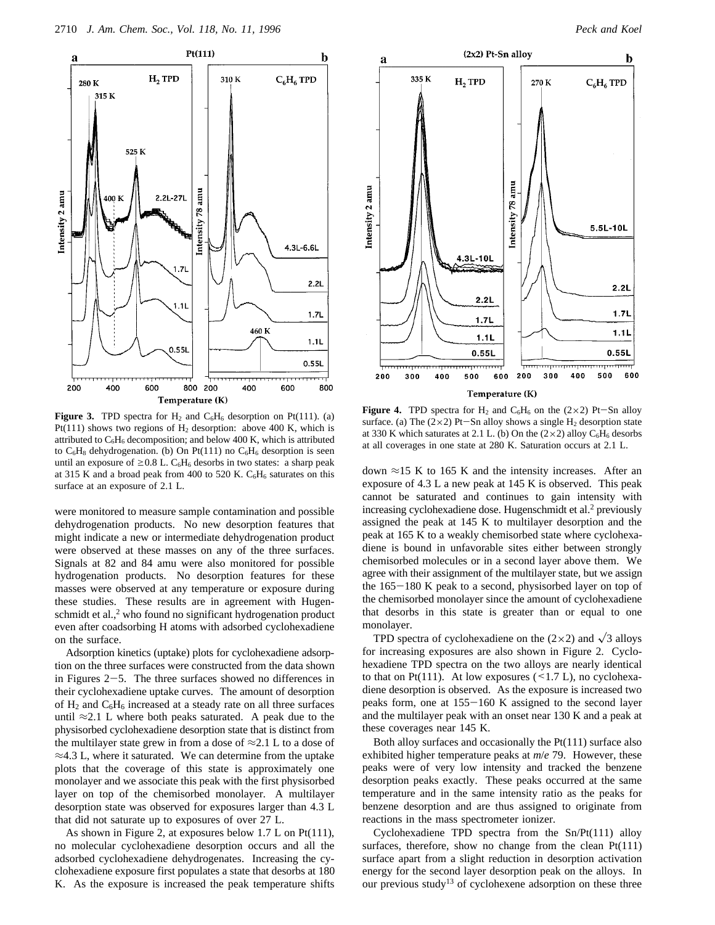



**Figure 3.** TPD spectra for  $H_2$  and  $C_6H_6$  desorption on Pt(111). (a) Pt(111) shows two regions of  $H_2$  desorption: above 400 K, which is attributed to  $C_6H_6$  decomposition; and below 400 K, which is attributed to  $C_6H_8$  dehydrogenation. (b) On Pt(111) no  $C_6H_6$  desorption is seen until an exposure of  $\geq$  0.8 L. C<sub>6</sub>H<sub>6</sub> desorbs in two states: a sharp peak at 315 K and a broad peak from 400 to 520 K.  $C_6H_6$  saturates on this surface at an exposure of 2.1 L.

were monitored to measure sample contamination and possible dehydrogenation products. No new desorption features that might indicate a new or intermediate dehydrogenation product were observed at these masses on any of the three surfaces. Signals at 82 and 84 amu were also monitored for possible hydrogenation products. No desorption features for these masses were observed at any temperature or exposure during these studies. These results are in agreement with Hugenschmidt et al.,<sup>2</sup> who found no significant hydrogenation product even after coadsorbing H atoms with adsorbed cyclohexadiene on the surface.

Adsorption kinetics (uptake) plots for cyclohexadiene adsorption on the three surfaces were constructed from the data shown in Figures 2-5. The three surfaces showed no differences in their cyclohexadiene uptake curves. The amount of desorption of  $H_2$  and  $C_6H_6$  increased at a steady rate on all three surfaces until  $\approx$ 2.1 L where both peaks saturated. A peak due to the physisorbed cyclohexadiene desorption state that is distinct from the multilayer state grew in from a dose of  $\approx 2.1$  L to a dose of  $\approx$ 4.3 L, where it saturated. We can determine from the uptake plots that the coverage of this state is approximately one monolayer and we associate this peak with the first physisorbed layer on top of the chemisorbed monolayer. A multilayer desorption state was observed for exposures larger than 4.3 L that did not saturate up to exposures of over 27 L.

As shown in Figure 2, at exposures below 1.7 L on Pt(111), no molecular cyclohexadiene desorption occurs and all the adsorbed cyclohexadiene dehydrogenates. Increasing the cyclohexadiene exposure first populates a state that desorbs at 180 K. As the exposure is increased the peak temperature shifts



**Figure 4.** TPD spectra for  $H_2$  and  $C_6H_6$  on the (2×2) Pt-Sn alloy surface. (a) The  $(2\times2)$  Pt-Sn alloy shows a single H<sub>2</sub> desorption state at 330 K which saturates at 2.1 L. (b) On the  $(2\times2)$  alloy C<sub>6</sub>H<sub>6</sub> desorbs at all coverages in one state at 280 K. Saturation occurs at 2.1 L.

down  $\approx$ 15 K to 165 K and the intensity increases. After an exposure of 4.3 L a new peak at 145 K is observed. This peak cannot be saturated and continues to gain intensity with increasing cyclohexadiene dose. Hugenschmidt et al.<sup>2</sup> previously assigned the peak at 145 K to multilayer desorption and the peak at 165 K to a weakly chemisorbed state where cyclohexadiene is bound in unfavorable sites either between strongly chemisorbed molecules or in a second layer above them. We agree with their assignment of the multilayer state, but we assign the 165-180 K peak to a second, physisorbed layer on top of the chemisorbed monolayer since the amount of cyclohexadiene that desorbs in this state is greater than or equal to one monolayer.

TPD spectra of cyclohexadiene on the  $(2\times2)$  and  $\sqrt{3}$  alloys for increasing exposures are also shown in Figure 2. Cyclohexadiene TPD spectra on the two alloys are nearly identical to that on Pt(111). At low exposures  $($  < 1.7 L), no cyclohexadiene desorption is observed. As the exposure is increased two peaks form, one at 155-160 K assigned to the second layer and the multilayer peak with an onset near 130 K and a peak at these coverages near 145 K.

Both alloy surfaces and occasionally the Pt(111) surface also exhibited higher temperature peaks at *m*/*e* 79. However, these peaks were of very low intensity and tracked the benzene desorption peaks exactly. These peaks occurred at the same temperature and in the same intensity ratio as the peaks for benzene desorption and are thus assigned to originate from reactions in the mass spectrometer ionizer.

Cyclohexadiene TPD spectra from the Sn/Pt(111) alloy surfaces, therefore, show no change from the clean Pt(111) surface apart from a slight reduction in desorption activation energy for the second layer desorption peak on the alloys. In our previous study<sup>13</sup> of cyclohexene adsorption on these three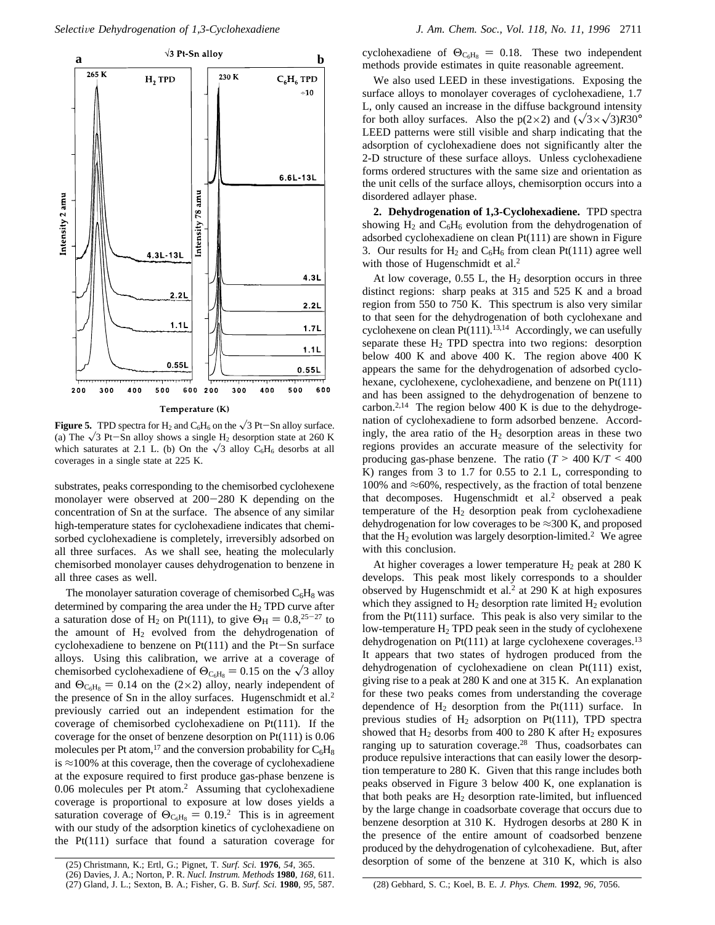

<del>. . . . . . . . . . . . . . . . .</del> 400 300 400 500 600 200 300 500 Temperature (K)

600

200

**Figure 5.** TPD spectra for H<sub>2</sub> and C<sub>6</sub>H<sub>6</sub> on the  $\sqrt{3}$  Pt-Sn alloy surface. (a) The  $\sqrt{3}$  Pt-Sn alloy shows a single H<sub>2</sub> desorption state at 260 K which saturates at 2.1 L. (b) On the  $\sqrt{3}$  alloy C<sub>6</sub>H<sub>6</sub> desorbs at all coverages in a single state at 225 K.

substrates, peaks corresponding to the chemisorbed cyclohexene monolayer were observed at 200-280 K depending on the concentration of Sn at the surface. The absence of any similar high-temperature states for cyclohexadiene indicates that chemisorbed cyclohexadiene is completely, irreversibly adsorbed on all three surfaces. As we shall see, heating the molecularly chemisorbed monolayer causes dehydrogenation to benzene in all three cases as well.

The monolayer saturation coverage of chemisorbed  $C_6H_8$  was determined by comparing the area under the  $H_2$  TPD curve after a saturation dose of H<sub>2</sub> on Pt(111), to give  $\Theta_H = 0.8^{25-27}$  to the amount of  $H_2$  evolved from the dehydrogenation of cyclohexadiene to benzene on  $Pt(111)$  and the  $Pt-Sn$  surface alloys. Using this calibration, we arrive at a coverage of chemisorbed cyclohexadiene of  $\Theta_{\text{C}_6\text{H}_8} = 0.15$  on the  $\sqrt{3}$  alloy and  $\Theta_{C_6H_8} = 0.14$  on the (2×2) alloy, nearly independent of the presence of Sn in the alloy surfaces. Hugenschmidt et al.<sup>2</sup> previously carried out an independent estimation for the coverage of chemisorbed cyclohexadiene on Pt(111). If the coverage for the onset of benzene desorption on Pt(111) is 0.06 molecules per Pt atom,<sup>17</sup> and the conversion probability for  $C_6H_8$ is  $\approx$ 100% at this coverage, then the coverage of cyclohexadiene at the exposure required to first produce gas-phase benzene is 0.06 molecules per Pt atom.2 Assuming that cyclohexadiene coverage is proportional to exposure at low doses yields a saturation coverage of  $\Theta_{\text{C}_6\text{H}_8} = 0.19$ .<sup>2</sup> This is in agreement with our study of the adsorption kinetics of cyclohexadiene on the Pt(111) surface that found a saturation coverage for

cyclohexadiene of  $\Theta_{C_6H_8} = 0.18$ . These two independent methods provide estimates in quite reasonable agreement.

We also used LEED in these investigations. Exposing the surface alloys to monolayer coverages of cyclohexadiene, 1.7 L, only caused an increase in the diffuse background intensity for both alloy surfaces. Also the  $p(2\times2)$  and  $(\sqrt{3}\times\sqrt{3})R30^\circ$ LEED patterns were still visible and sharp indicating that the adsorption of cyclohexadiene does not significantly alter the 2-D structure of these surface alloys. Unless cyclohexadiene forms ordered structures with the same size and orientation as the unit cells of the surface alloys, chemisorption occurs into a disordered adlayer phase.

**2. Dehydrogenation of 1,3-Cyclohexadiene.** TPD spectra showing  $H_2$  and  $C_6H_6$  evolution from the dehydrogenation of adsorbed cyclohexadiene on clean Pt(111) are shown in Figure 3. Our results for  $H_2$  and  $C_6H_6$  from clean Pt(111) agree well with those of Hugenschmidt et al.<sup>2</sup>

At low coverage,  $0.55$  L, the  $H_2$  desorption occurs in three distinct regions: sharp peaks at 315 and 525 K and a broad region from 550 to 750 K. This spectrum is also very similar to that seen for the dehydrogenation of both cyclohexane and cyclohexene on clean Pt $(111)$ .<sup>13,14</sup> Accordingly, we can usefully separate these  $H_2$  TPD spectra into two regions: desorption below 400 K and above 400 K. The region above 400 K appears the same for the dehydrogenation of adsorbed cyclohexane, cyclohexene, cyclohexadiene, and benzene on Pt(111) and has been assigned to the dehydrogenation of benzene to carbon.<sup>2,14</sup> The region below 400 K is due to the dehydrogenation of cyclohexadiene to form adsorbed benzene. Accordingly, the area ratio of the  $H_2$  desorption areas in these two regions provides an accurate measure of the selectivity for producing gas-phase benzene. The ratio  $(T > 400 \text{ K}/T < 400$ K) ranges from 3 to 1.7 for 0.55 to 2.1 L, corresponding to 100% and  $\approx$ 60%, respectively, as the fraction of total benzene that decomposes. Hugenschmidt et al.<sup>2</sup> observed a peak temperature of the  $H_2$  desorption peak from cyclohexadiene dehydrogenation for low coverages to be  $\approx$ 300 K, and proposed that the  $H_2$  evolution was largely desorption-limited.<sup>2</sup> We agree with this conclusion.

At higher coverages a lower temperature  $H_2$  peak at 280 K develops. This peak most likely corresponds to a shoulder observed by Hugenschmidt et al.<sup>2</sup> at 290 K at high exposures which they assigned to  $H_2$  desorption rate limited  $H_2$  evolution from the  $Pt(111)$  surface. This peak is also very similar to the low-temperature H2 TPD peak seen in the study of cyclohexene dehydrogenation on  $Pt(111)$  at large cyclohexene coverages.<sup>13</sup> It appears that two states of hydrogen produced from the dehydrogenation of cyclohexadiene on clean Pt(111) exist, giving rise to a peak at 280 K and one at 315 K. An explanation for these two peaks comes from understanding the coverage dependence of  $H_2$  desorption from the Pt(111) surface. In previous studies of  $H_2$  adsorption on Pt(111), TPD spectra showed that  $H_2$  desorbs from 400 to 280 K after  $H_2$  exposures ranging up to saturation coverage.28 Thus, coadsorbates can produce repulsive interactions that can easily lower the desorption temperature to 280 K. Given that this range includes both peaks observed in Figure 3 below 400 K, one explanation is that both peaks are  $H_2$  desorption rate-limited, but influenced by the large change in coadsorbate coverage that occurs due to benzene desorption at 310 K. Hydrogen desorbs at 280 K in the presence of the entire amount of coadsorbed benzene produced by the dehydrogenation of cylcohexadiene. But, after desorption of some of the benzene at 310 K, which is also (25) Christmann, K.; Ertl, G.; Pignet, T. *Surf. Sci.* **<sup>1976</sup>**, *<sup>54</sup>*, 365.

(27) Gland, J. L.; Sexton, B. A.; Fisher, G. B. *Surf. Sci.* **1980**, *95*, 587. (28) Gebhard, S. C.; Koel, B. E. *J. Phys. Chem.* **1992**, *96*, 7056.

<sup>(26)</sup> Davies, J. A.; Norton, P. R. *Nucl. Instrum. Methods* **1980**, *168*, 611.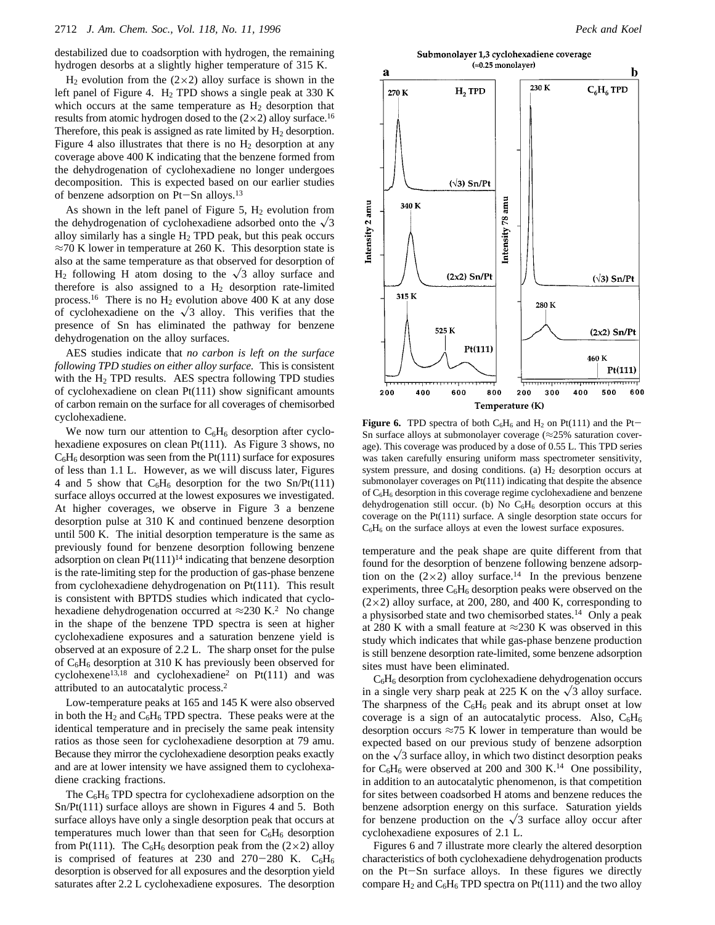destabilized due to coadsorption with hydrogen, the remaining hydrogen desorbs at a slightly higher temperature of 315 K.

 $H_2$  evolution from the (2×2) alloy surface is shown in the left panel of Figure 4.  $H_2$  TPD shows a single peak at 330 K which occurs at the same temperature as  $H_2$  desorption that results from atomic hydrogen dosed to the  $(2\times2)$  alloy surface.<sup>16</sup> Therefore, this peak is assigned as rate limited by  $H_2$  desorption. Figure 4 also illustrates that there is no  $H_2$  desorption at any coverage above 400 K indicating that the benzene formed from the dehydrogenation of cyclohexadiene no longer undergoes decomposition. This is expected based on our earlier studies of benzene adsorption on Pt-Sn alloys.13

As shown in the left panel of Figure 5,  $H_2$  evolution from the dehydrogenation of cyclohexadiene adsorbed onto the  $\sqrt{3}$ alloy similarly has a single  $H_2$  TPD peak, but this peak occurs  $\approx$ 70 K lower in temperature at 260 K. This desorption state is also at the same temperature as that observed for desorption of  $H_2$  following H atom dosing to the  $\sqrt{3}$  alloy surface and therefore is also assigned to a  $H_2$  desorption rate-limited process.<sup>16</sup> There is no  $H_2$  evolution above 400 K at any dose of cyclohexadiene on the  $\sqrt{3}$  alloy. This verifies that the presence of Sn has eliminated the pathway for benzene dehydrogenation on the alloy surfaces.

AES studies indicate that *no carbon is left on the surface following TPD studies on either alloy surface*. This is consistent with the  $H_2$  TPD results. AES spectra following TPD studies of cyclohexadiene on clean Pt(111) show significant amounts of carbon remain on the surface for all coverages of chemisorbed cyclohexadiene.

We now turn our attention to  $C_6H_6$  desorption after cyclohexadiene exposures on clean Pt(111). As Figure 3 shows, no  $C_6H_6$  desorption was seen from the Pt(111) surface for exposures of less than 1.1 L. However, as we will discuss later, Figures 4 and 5 show that  $C_6H_6$  desorption for the two Sn/Pt(111) surface alloys occurred at the lowest exposures we investigated. At higher coverages, we observe in Figure 3 a benzene desorption pulse at 310 K and continued benzene desorption until 500 K. The initial desorption temperature is the same as previously found for benzene desorption following benzene adsorption on clean  $Pt(111)^{14}$  indicating that benzene desorption is the rate-limiting step for the production of gas-phase benzene from cyclohexadiene dehydrogenation on Pt(111). This result is consistent with BPTDS studies which indicated that cyclohexadiene dehydrogenation occurred at  $\approx$ 230 K.<sup>2</sup> No change in the shape of the benzene TPD spectra is seen at higher cyclohexadiene exposures and a saturation benzene yield is observed at an exposure of 2.2 L. The sharp onset for the pulse of  $C_6H_6$  desorption at 310 K has previously been observed for cyclohexene<sup>13,18</sup> and cyclohexadiene<sup>2</sup> on Pt(111) and was attributed to an autocatalytic process.2

Low-temperature peaks at 165 and 145 K were also observed in both the  $H_2$  and  $C_6H_6$  TPD spectra. These peaks were at the identical temperature and in precisely the same peak intensity ratios as those seen for cyclohexadiene desorption at 79 amu. Because they mirror the cyclohexadiene desorption peaks exactly and are at lower intensity we have assigned them to cyclohexadiene cracking fractions.

The  $C_6H_6$  TPD spectra for cyclohexadiene adsorption on the Sn/Pt(111) surface alloys are shown in Figures 4 and 5. Both surface alloys have only a single desorption peak that occurs at temperatures much lower than that seen for  $C_6H_6$  desorption from Pt(111). The C<sub>6</sub>H<sub>6</sub> desorption peak from the (2×2) alloy is comprised of features at 230 and 270-280 K.  $C_6H_6$ desorption is observed for all exposures and the desorption yield saturates after 2.2 L cyclohexadiene exposures. The desorption

Submonolayer 1,3 cyclohexadiene coverage



**Figure 6.** TPD spectra of both  $C_6H_6$  and  $H_2$  on Pt(111) and the Pt-Sn surface alloys at submonolayer coverage  $(\approx 25\%$  saturation coverage). This coverage was produced by a dose of 0.55 L. This TPD series was taken carefully ensuring uniform mass spectrometer sensitivity, system pressure, and dosing conditions. (a)  $H_2$  desorption occurs at submonolayer coverages on Pt(111) indicating that despite the absence of  $C_6H_6$  desorption in this coverage regime cyclohexadiene and benzene dehydrogenation still occur. (b) No  $C_6H_6$  desorption occurs at this coverage on the Pt(111) surface. A single desorption state occurs for  $C_6H_6$  on the surface alloys at even the lowest surface exposures.

temperature and the peak shape are quite different from that found for the desorption of benzene following benzene adsorption on the  $(2\times2)$  alloy surface.<sup>14</sup> In the previous benzene experiments, three  $C_6H_6$  desorption peaks were observed on the  $(2\times2)$  alloy surface, at 200, 280, and 400 K, corresponding to a physisorbed state and two chemisorbed states.14 Only a peak at 280 K with a small feature at  $\approx$  230 K was observed in this study which indicates that while gas-phase benzene production is still benzene desorption rate-limited, some benzene adsorption sites must have been eliminated.

C6H6 desorption from cyclohexadiene dehydrogenation occurs in a single very sharp peak at 225 K on the  $\sqrt{3}$  alloy surface. The sharpness of the  $C_6H_6$  peak and its abrupt onset at low coverage is a sign of an autocatalytic process. Also,  $C_6H_6$ desorption occurs  $\approx$ 75 K lower in temperature than would be expected based on our previous study of benzene adsorption on the  $\sqrt{3}$  surface alloy, in which two distinct desorption peaks for  $C_6H_6$  were observed at 200 and 300 K.<sup>14</sup> One possibility, in addition to an autocatalytic phenomenon, is that competition for sites between coadsorbed H atoms and benzene reduces the benzene adsorption energy on this surface. Saturation yields for benzene production on the  $\sqrt{3}$  surface alloy occur after cyclohexadiene exposures of 2.1 L.

Figures 6 and 7 illustrate more clearly the altered desorption characteristics of both cyclohexadiene dehydrogenation products on the Pt-Sn surface alloys. In these figures we directly compare  $H_2$  and  $C_6H_6$  TPD spectra on Pt(111) and the two alloy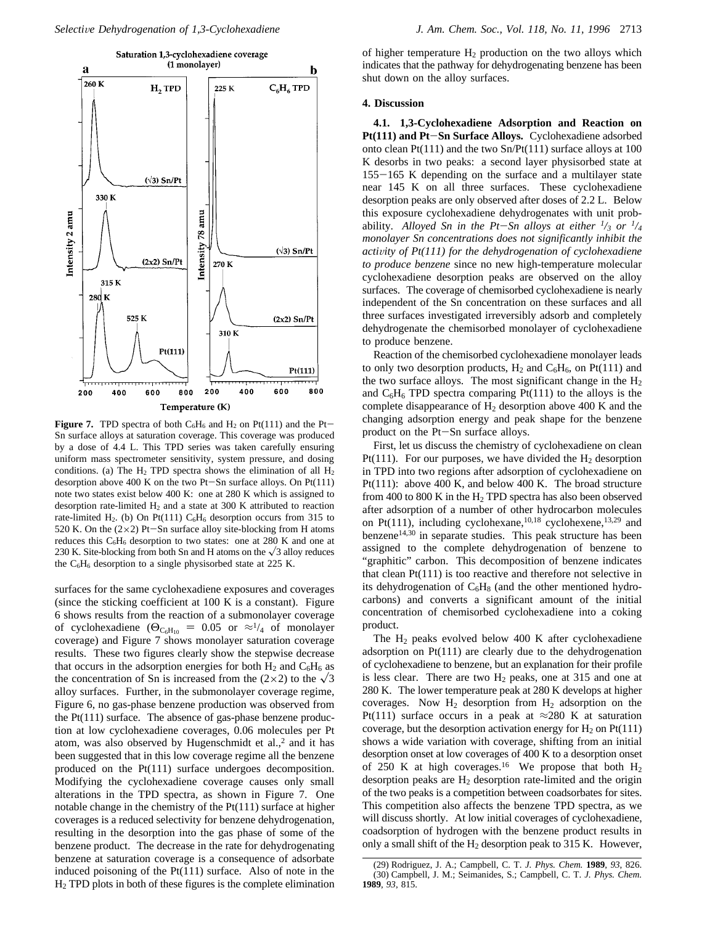

**Figure 7.** TPD spectra of both  $C_6H_6$  and  $H_2$  on Pt(111) and the Pt-Sn surface alloys at saturation coverage. This coverage was produced by a dose of 4.4 L. This TPD series was taken carefully ensuring uniform mass spectrometer sensitivity, system pressure, and dosing conditions. (a) The  $H_2$  TPD spectra shows the elimination of all  $H_2$ desorption above 400 K on the two Pt-Sn surface alloys. On Pt(111) note two states exist below 400 K: one at 280 K which is assigned to desorption rate-limited  $H_2$  and a state at 300 K attributed to reaction rate-limited H<sub>2</sub>. (b) On Pt(111)  $C_6H_6$  desorption occurs from 315 to 520 K. On the  $(2\times2)$  Pt-Sn surface alloy site-blocking from H atoms reduces this  $C_6H_6$  desorption to two states: one at 280 K and one at 230 K. Site-blocking from both Sn and H atoms on the  $\sqrt{3}$  alloy reduces the  $C_6H_6$  desorption to a single physisorbed state at 225 K.

surfaces for the same cyclohexadiene exposures and coverages (since the sticking coefficient at 100 K is a constant). Figure 6 shows results from the reaction of a submonolayer coverage of cyclohexadiene ( $\Theta_{C_6H_{10}} = 0.05$  or  $\approx 1/4$  of monolayer coverage) and Figure 7 shows monolayer saturation coverage results. These two figures clearly show the stepwise decrease that occurs in the adsorption energies for both  $H_2$  and  $C_6H_6$  as the concentration of Sn is increased from the (2×2) to the  $\sqrt{3}$ alloy surfaces. Further, in the submonolayer coverage regime, Figure 6, no gas-phase benzene production was observed from the Pt(111) surface. The absence of gas-phase benzene production at low cyclohexadiene coverages, 0.06 molecules per Pt atom, was also observed by Hugenschmidt et al., $<sup>2</sup>$  and it has</sup> been suggested that in this low coverage regime all the benzene produced on the Pt(111) surface undergoes decomposition. Modifying the cyclohexadiene coverage causes only small alterations in the TPD spectra, as shown in Figure 7. One notable change in the chemistry of the Pt(111) surface at higher coverages is a reduced selectivity for benzene dehydrogenation, resulting in the desorption into the gas phase of some of the benzene product. The decrease in the rate for dehydrogenating benzene at saturation coverage is a consequence of adsorbate induced poisoning of the Pt(111) surface. Also of note in the H2 TPD plots in both of these figures is the complete elimination

of higher temperature  $H_2$  production on the two alloys which indicates that the pathway for dehydrogenating benzene has been shut down on the alloy surfaces.

#### **4. Discussion**

**4.1. 1,3-Cyclohexadiene Adsorption and Reaction on Pt(111) and Pt**-**Sn Surface Alloys.** Cyclohexadiene adsorbed onto clean Pt(111) and the two Sn/Pt(111) surface alloys at 100 K desorbs in two peaks: a second layer physisorbed state at 155-165 K depending on the surface and a multilayer state near 145 K on all three surfaces. These cyclohexadiene desorption peaks are only observed after doses of 2.2 L. Below this exposure cyclohexadiene dehydrogenates with unit probability. Alloyed Sn in the Pt-Sn alloys at either  $\frac{1}{3}$  or  $\frac{1}{4}$ *monolayer Sn concentrations does not significantly inhibit the activity of Pt(111) for the dehydrogenation of cyclohexadiene to produce benzene* since no new high-temperature molecular cyclohexadiene desorption peaks are observed on the alloy surfaces. The coverage of chemisorbed cyclohexadiene is nearly independent of the Sn concentration on these surfaces and all three surfaces investigated irreversibly adsorb and completely dehydrogenate the chemisorbed monolayer of cyclohexadiene to produce benzene.

Reaction of the chemisorbed cyclohexadiene monolayer leads to only two desorption products,  $H_2$  and  $C_6H_6$ , on Pt(111) and the two surface alloys. The most significant change in the  $H_2$ and  $C_6H_6$  TPD spectra comparing Pt(111) to the alloys is the complete disappearance of  $H_2$  desorption above 400 K and the changing adsorption energy and peak shape for the benzene product on the Pt-Sn surface alloys.

First, let us discuss the chemistry of cyclohexadiene on clean Pt(111). For our purposes, we have divided the  $H_2$  desorption in TPD into two regions after adsorption of cyclohexadiene on Pt(111): above 400 K, and below 400 K. The broad structure from 400 to 800 K in the  $H_2$  TPD spectra has also been observed after adsorption of a number of other hydrocarbon molecules on Pt(111), including cyclohexane,<sup>10,18</sup> cyclohexene,<sup>13,29</sup> and benzene<sup>14,30</sup> in separate studies. This peak structure has been assigned to the complete dehydrogenation of benzene to "graphitic" carbon. This decomposition of benzene indicates that clean Pt(111) is too reactive and therefore not selective in its dehydrogenation of  $C_6H_8$  (and the other mentioned hydrocarbons) and converts a significant amount of the initial concentration of chemisorbed cyclohexadiene into a coking product.

The  $H_2$  peaks evolved below 400 K after cyclohexadiene adsorption on Pt(111) are clearly due to the dehydrogenation of cyclohexadiene to benzene, but an explanation for their profile is less clear. There are two  $H_2$  peaks, one at 315 and one at 280 K. The lower temperature peak at 280 K develops at higher coverages. Now  $H_2$  desorption from  $H_2$  adsorption on the Pt(111) surface occurs in a peak at  $\approx$ 280 K at saturation coverage, but the desorption activation energy for  $H_2$  on  $Pt(111)$ shows a wide variation with coverage, shifting from an initial desorption onset at low coverages of 400 K to a desorption onset of 250 K at high coverages.<sup>16</sup> We propose that both  $H_2$ desorption peaks are  $H_2$  desorption rate-limited and the origin of the two peaks is a competition between coadsorbates for sites. This competition also affects the benzene TPD spectra, as we will discuss shortly. At low initial coverages of cyclohexadiene, coadsorption of hydrogen with the benzene product results in only a small shift of the  $H_2$  desorption peak to 315 K. However,

<sup>(29)</sup> Rodriguez, J. A.; Campbell, C. T. *J. Phys. Chem.* **1989**, *93*, 826. (30) Campbell, J. M.; Seimanides, S.; Campbell, C. T. *J. Phys. Chem.* **1989**, *93*, 815.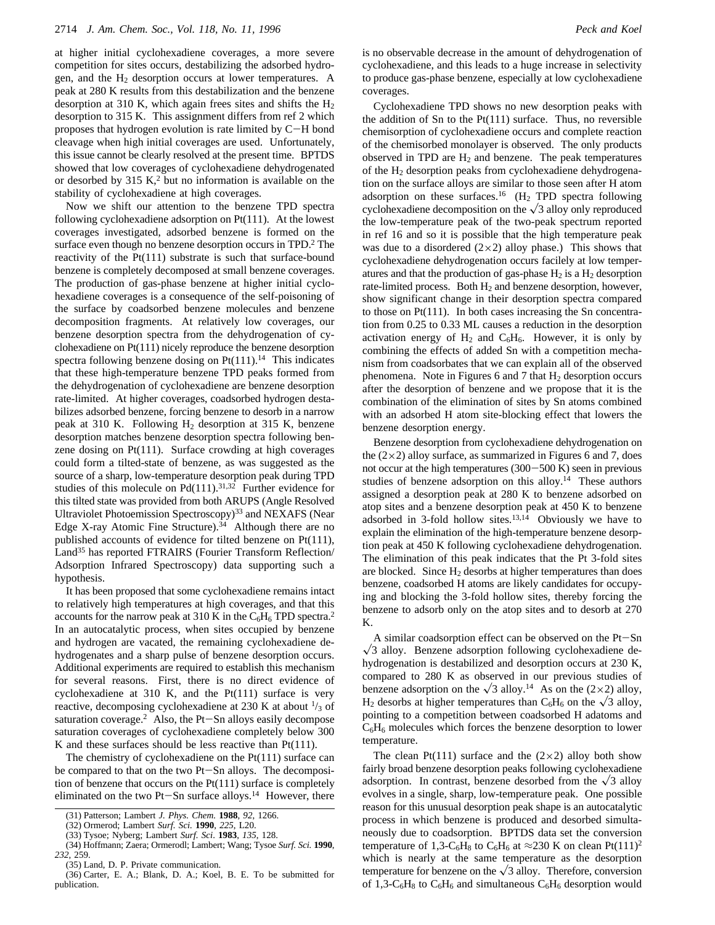at higher initial cyclohexadiene coverages, a more severe competition for sites occurs, destabilizing the adsorbed hydrogen, and the  $H_2$  desorption occurs at lower temperatures. A peak at 280 K results from this destabilization and the benzene desorption at 310 K, which again frees sites and shifts the  $H_2$ desorption to 315 K. This assignment differs from ref 2 which proposes that hydrogen evolution is rate limited by C-H bond cleavage when high initial coverages are used. Unfortunately, this issue cannot be clearly resolved at the present time. BPTDS showed that low coverages of cyclohexadiene dehydrogenated or desorbed by  $315 K<sub>1</sub><sup>2</sup>$  but no information is available on the stability of cyclohexadiene at high coverages.

Now we shift our attention to the benzene TPD spectra following cyclohexadiene adsorption on Pt(111). At the lowest coverages investigated, adsorbed benzene is formed on the surface even though no benzene desorption occurs in TPD.<sup>2</sup> The reactivity of the Pt(111) substrate is such that surface-bound benzene is completely decomposed at small benzene coverages. The production of gas-phase benzene at higher initial cyclohexadiene coverages is a consequence of the self-poisoning of the surface by coadsorbed benzene molecules and benzene decomposition fragments. At relatively low coverages, our benzene desorption spectra from the dehydrogenation of cyclohexadiene on Pt(111) nicely reproduce the benzene desorption spectra following benzene dosing on  $Pt(111).<sup>14</sup>$  This indicates that these high-temperature benzene TPD peaks formed from the dehydrogenation of cyclohexadiene are benzene desorption rate-limited. At higher coverages, coadsorbed hydrogen destabilizes adsorbed benzene, forcing benzene to desorb in a narrow peak at 310 K. Following  $H_2$  desorption at 315 K, benzene desorption matches benzene desorption spectra following benzene dosing on Pt(111). Surface crowding at high coverages could form a tilted-state of benzene, as was suggested as the source of a sharp, low-temperature desorption peak during TPD studies of this molecule on  $Pd(111).^{31,32}$  Further evidence for this tilted state was provided from both ARUPS (Angle Resolved Ultraviolet Photoemission Spectroscopy)<sup>33</sup> and NEXAFS (Near Edge X-ray Atomic Fine Structure).<sup>34</sup> Although there are no published accounts of evidence for tilted benzene on Pt(111), Land35 has reported FTRAIRS (Fourier Transform Reflection/ Adsorption Infrared Spectroscopy) data supporting such a hypothesis.

It has been proposed that some cyclohexadiene remains intact to relatively high temperatures at high coverages, and that this accounts for the narrow peak at 310 K in the  $C_6H_6$  TPD spectra.<sup>2</sup> In an autocatalytic process, when sites occupied by benzene and hydrogen are vacated, the remaining cyclohexadiene dehydrogenates and a sharp pulse of benzene desorption occurs. Additional experiments are required to establish this mechanism for several reasons. First, there is no direct evidence of cyclohexadiene at 310 K, and the Pt(111) surface is very reactive, decomposing cyclohexadiene at 230 K at about  $\frac{1}{3}$  of saturation coverage.<sup>2</sup> Also, the Pt-Sn alloys easily decompose saturation coverages of cyclohexadiene completely below 300 K and these surfaces should be less reactive than Pt(111).

The chemistry of cyclohexadiene on the Pt(111) surface can be compared to that on the two Pt-Sn alloys. The decomposition of benzene that occurs on the Pt(111) surface is completely eliminated on the two Pt-Sn surface alloys.<sup>14</sup> However, there is no observable decrease in the amount of dehydrogenation of cyclohexadiene, and this leads to a huge increase in selectivity to produce gas-phase benzene, especially at low cyclohexadiene coverages.

Cyclohexadiene TPD shows no new desorption peaks with the addition of Sn to the Pt(111) surface. Thus, no reversible chemisorption of cyclohexadiene occurs and complete reaction of the chemisorbed monolayer is observed. The only products observed in TPD are  $H_2$  and benzene. The peak temperatures of the H2 desorption peaks from cyclohexadiene dehydrogenation on the surface alloys are similar to those seen after H atom adsorption on these surfaces.<sup>16</sup> (H<sub>2</sub> TPD spectra following cyclohexadiene decomposition on the  $\sqrt{3}$  alloy only reproduced the low-temperature peak of the two-peak spectrum reported in ref 16 and so it is possible that the high temperature peak was due to a disordered  $(2\times2)$  alloy phase.) This shows that cyclohexadiene dehydrogenation occurs facilely at low temperatures and that the production of gas-phase  $H_2$  is a  $H_2$  desorption rate-limited process. Both H<sub>2</sub> and benzene desorption, however, show significant change in their desorption spectra compared to those on Pt(111). In both cases increasing the Sn concentration from 0.25 to 0.33 ML causes a reduction in the desorption activation energy of  $H_2$  and  $C_6H_6$ . However, it is only by combining the effects of added Sn with a competition mechanism from coadsorbates that we can explain all of the observed phenomena. Note in Figures 6 and 7 that  $H_2$  desorption occurs after the desorption of benzene and we propose that it is the combination of the elimination of sites by Sn atoms combined with an adsorbed H atom site-blocking effect that lowers the benzene desorption energy.

Benzene desorption from cyclohexadiene dehydrogenation on the  $(2\times2)$  alloy surface, as summarized in Figures 6 and 7, does not occur at the high temperatures (300-500 K) seen in previous studies of benzene adsorption on this alloy.14 These authors assigned a desorption peak at 280 K to benzene adsorbed on atop sites and a benzene desorption peak at 450 K to benzene adsorbed in 3-fold hollow sites.<sup>13,14</sup> Obviously we have to explain the elimination of the high-temperature benzene desorption peak at 450 K following cyclohexadiene dehydrogenation. The elimination of this peak indicates that the Pt 3-fold sites are blocked. Since  $H_2$  desorbs at higher temperatures than does benzene, coadsorbed H atoms are likely candidates for occupying and blocking the 3-fold hollow sites, thereby forcing the benzene to adsorb only on the atop sites and to desorb at 270 K.

A similar coadsorption effect can be observed on the Pt-Sn  $\sqrt{3}$  alloy. Benzene adsorption following cyclohexadiene dehydrogenation is destabilized and desorption occurs at 230 K, compared to 280 K as observed in our previous studies of benzene adsorption on the  $\sqrt{3}$  alloy.<sup>14</sup> As on the (2×2) alloy,  $H_2$  desorbs at higher temperatures than  $C_6H_6$  on the  $\sqrt{3}$  alloy, pointing to a competition between coadsorbed H adatoms and  $C_6H_6$  molecules which forces the benzene desorption to lower temperature.

The clean Pt(111) surface and the  $(2\times2)$  alloy both show fairly broad benzene desorption peaks following cyclohexadiene adsorption. In contrast, benzene desorbed from the  $\sqrt{3}$  alloy evolves in a single, sharp, low-temperature peak. One possible reason for this unusual desorption peak shape is an autocatalytic process in which benzene is produced and desorbed simultaneously due to coadsorption. BPTDS data set the conversion temperature of 1,3-C<sub>6</sub>H<sub>8</sub> to C<sub>6</sub>H<sub>6</sub> at ≈230 K on clean Pt(111)<sup>2</sup> which is nearly at the same temperature as the desorption temperature for benzene on the  $\sqrt{3}$  alloy. Therefore, conversion of 1,3-C<sub>6</sub>H<sub>8</sub> to C<sub>6</sub>H<sub>6</sub> and simultaneous C<sub>6</sub>H<sub>6</sub> desorption would

<sup>(31)</sup> Patterson; Lambert *J. Phys. Chem.* **1988**, *92*, 1266.

<sup>(32)</sup> Ormerod; Lambert *Surf. Sci.* **1990**, *225*, L20.

<sup>(33)</sup> Tysoe; Nyberg; Lambert *Surf. Sci*. **1983**, *135*, 128.

<sup>(34)</sup> Hoffmann; Zaera; Ormerodl; Lambert; Wang; Tysoe *Surf. Sci.* **1990**, *232*, 259.

<sup>(35)</sup> Land, D. P. Private communication.

<sup>(36)</sup> Carter, E. A.; Blank, D. A.; Koel, B. E. To be submitted for publication.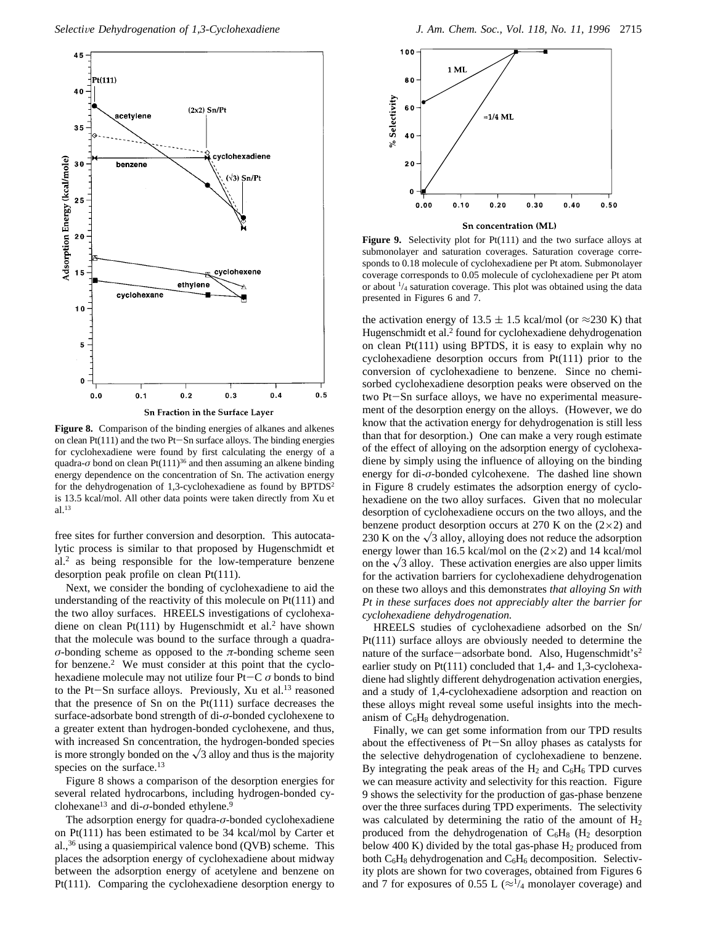

**Figure 8.** Comparison of the binding energies of alkanes and alkenes on clean Pt(111) and the two Pt-Sn surface alloys. The binding energies for cyclohexadiene were found by first calculating the energy of a quadra- $\sigma$  bond on clean Pt(111)<sup>36</sup> and then assuming an alkene binding energy dependence on the concentration of Sn. The activation energy for the dehydrogenation of 1,3-cyclohexadiene as found by BPTDS<sup>2</sup> is 13.5 kcal/mol. All other data points were taken directly from Xu et al.13

free sites for further conversion and desorption. This autocatalytic process is similar to that proposed by Hugenschmidt et al.2 as being responsible for the low-temperature benzene desorption peak profile on clean Pt(111).

Next, we consider the bonding of cyclohexadiene to aid the understanding of the reactivity of this molecule on Pt(111) and the two alloy surfaces. HREELS investigations of cyclohexadiene on clean Pt $(111)$  by Hugenschmidt et al.<sup>2</sup> have shown that the molecule was bound to the surface through a quadra*σ*-bonding scheme as opposed to the  $\pi$ -bonding scheme seen for benzene.<sup>2</sup> We must consider at this point that the cyclohexadiene molecule may not utilize four Pt-C *σ* bonds to bind to the Pt-Sn surface alloys. Previously, Xu et al.<sup>13</sup> reasoned that the presence of Sn on the Pt(111) surface decreases the surface-adsorbate bond strength of di-*σ*-bonded cyclohexene to a greater extent than hydrogen-bonded cyclohexene, and thus, with increased Sn concentration, the hydrogen-bonded species is more strongly bonded on the  $\sqrt{3}$  alloy and thus is the majority species on the surface.<sup>13</sup>

Figure 8 shows a comparison of the desorption energies for several related hydrocarbons, including hydrogen-bonded cyclohexane<sup>13</sup> and di- $\sigma$ -bonded ethylene.<sup>9</sup>

The adsorption energy for quadra-*σ*-bonded cyclohexadiene on Pt(111) has been estimated to be 34 kcal/mol by Carter et al.,36 using a quasiempirical valence bond (QVB) scheme. This places the adsorption energy of cyclohexadiene about midway between the adsorption energy of acetylene and benzene on Pt(111). Comparing the cyclohexadiene desorption energy to



**Figure 9.** Selectivity plot for Pt(111) and the two surface alloys at submonolayer and saturation coverages. Saturation coverage corresponds to 0.18 molecule of cyclohexadiene per Pt atom. Submonolayer coverage corresponds to 0.05 molecule of cyclohexadiene per Pt atom or about  $\frac{1}{4}$  saturation coverage. This plot was obtained using the data presented in Figures 6 and 7.

the activation energy of 13.5  $\pm$  1.5 kcal/mol (or ≈230 K) that Hugenschmidt et al.<sup>2</sup> found for cyclohexadiene dehydrogenation on clean Pt(111) using BPTDS, it is easy to explain why no cyclohexadiene desorption occurs from Pt(111) prior to the conversion of cyclohexadiene to benzene. Since no chemisorbed cyclohexadiene desorption peaks were observed on the two Pt-Sn surface alloys, we have no experimental measurement of the desorption energy on the alloys. (However, we do know that the activation energy for dehydrogenation is still less than that for desorption.) One can make a very rough estimate of the effect of alloying on the adsorption energy of cyclohexadiene by simply using the influence of alloying on the binding energy for di-*σ*-bonded cylcohexene. The dashed line shown in Figure 8 crudely estimates the adsorption energy of cyclohexadiene on the two alloy surfaces. Given that no molecular desorption of cyclohexadiene occurs on the two alloys, and the benzene product desorption occurs at 270 K on the  $(2\times2)$  and 230 K on the  $\sqrt{3}$  alloy, alloying does not reduce the adsorption energy lower than 16.5 kcal/mol on the  $(2\times2)$  and 14 kcal/mol on the  $\sqrt{3}$  alloy. These activation energies are also upper limits for the activation barriers for cyclohexadiene dehydrogenation on these two alloys and this demonstrates *that alloying Sn with Pt in these surfaces does not appreciably alter the barrier for cyclohexadiene dehydrogenation.*

HREELS studies of cyclohexadiene adsorbed on the Sn/ Pt(111) surface alloys are obviously needed to determine the nature of the surface-adsorbate bond. Also, Hugenschmidt's<sup>2</sup> earlier study on Pt(111) concluded that 1,4- and 1,3-cyclohexadiene had slightly different dehydrogenation activation energies, and a study of 1,4-cyclohexadiene adsorption and reaction on these alloys might reveal some useful insights into the mechanism of  $C_6H_8$  dehydrogenation.

Finally, we can get some information from our TPD results about the effectiveness of Pt-Sn alloy phases as catalysts for the selective dehydrogenation of cyclohexadiene to benzene. By integrating the peak areas of the  $H_2$  and  $C_6H_6$  TPD curves we can measure activity and selectivity for this reaction. Figure 9 shows the selectivity for the production of gas-phase benzene over the three surfaces during TPD experiments. The selectivity was calculated by determining the ratio of the amount of  $H_2$ produced from the dehydrogenation of  $C_6H_8$  (H<sub>2</sub> desorption below 400 K) divided by the total gas-phase  $H_2$  produced from both  $C_6H_8$  dehydrogenation and  $C_6H_6$  decomposition. Selectivity plots are shown for two coverages, obtained from Figures 6 and 7 for exposures of 0.55 L ( $\approx$ <sup>1</sup>/<sub>4</sub> monolayer coverage) and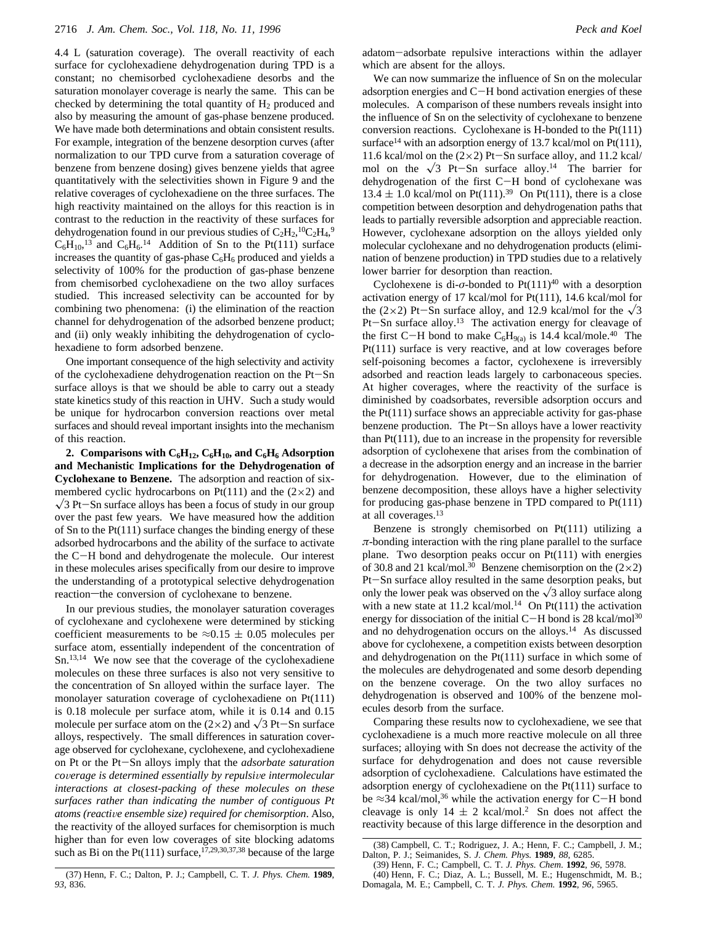4.4 L (saturation coverage). The overall reactivity of each surface for cyclohexadiene dehydrogenation during TPD is a constant; no chemisorbed cyclohexadiene desorbs and the saturation monolayer coverage is nearly the same. This can be checked by determining the total quantity of  $H_2$  produced and also by measuring the amount of gas-phase benzene produced. We have made both determinations and obtain consistent results. For example, integration of the benzene desorption curves (after normalization to our TPD curve from a saturation coverage of benzene from benzene dosing) gives benzene yields that agree quantitatively with the selectivities shown in Figure 9 and the relative coverages of cyclohexadiene on the three surfaces. The high reactivity maintained on the alloys for this reaction is in contrast to the reduction in the reactivity of these surfaces for dehydrogenation found in our previous studies of  $C_2H_2$ ,<sup>10</sup> $C_2H_4$ ,<sup>9</sup>  $C_6H_{10}$ ,<sup>13</sup> and  $C_6H_6$ .<sup>14</sup> Addition of Sn to the Pt(111) surface increases the quantity of gas-phase  $C_6H_6$  produced and yields a selectivity of 100% for the production of gas-phase benzene from chemisorbed cyclohexadiene on the two alloy surfaces studied. This increased selectivity can be accounted for by combining two phenomena: (i) the elimination of the reaction channel for dehydrogenation of the adsorbed benzene product; and (ii) only weakly inhibiting the dehydrogenation of cyclohexadiene to form adsorbed benzene.

One important consequence of the high selectivity and activity of the cyclohexadiene dehydrogenation reaction on the Pt-Sn surface alloys is that we should be able to carry out a steady state kinetics study of this reaction in UHV. Such a study would be unique for hydrocarbon conversion reactions over metal surfaces and should reveal important insights into the mechanism of this reaction.

2. Comparisons with  $C_6H_{12}$ ,  $C_6H_{10}$ , and  $C_6H_6$  Adsorption **and Mechanistic Implications for the Dehydrogenation of Cyclohexane to Benzene.** The adsorption and reaction of sixmembered cyclic hydrocarbons on Pt(111) and the  $(2\times2)$  and  $\sqrt{3}$  Pt-Sn surface alloys has been a focus of study in our group over the past few years. We have measured how the addition of Sn to the Pt(111) surface changes the binding energy of these adsorbed hydrocarbons and the ability of the surface to activate the C-H bond and dehydrogenate the molecule. Our interest in these molecules arises specifically from our desire to improve the understanding of a prototypical selective dehydrogenation reaction—the conversion of cyclohexane to benzene.

In our previous studies, the monolayer saturation coverages of cyclohexane and cyclohexene were determined by sticking coefficient measurements to be  $\approx 0.15 \pm 0.05$  molecules per surface atom, essentially independent of the concentration of Sn.13,14 We now see that the coverage of the cyclohexadiene molecules on these three surfaces is also not very sensitive to the concentration of Sn alloyed within the surface layer. The monolayer saturation coverage of cyclohexadiene on Pt(111) is 0.18 molecule per surface atom, while it is 0.14 and 0.15 molecule per surface atom on the  $(2\times 2)$  and  $\sqrt{3}$  Pt-Sn surface alloys, respectively. The small differences in saturation coverage observed for cyclohexane, cyclohexene, and cyclohexadiene on Pt or the Pt-Sn alloys imply that the *adsorbate saturation coverage is determined essentially by repulsive intermolecular interactions at closest-packing of these molecules on these surfaces rather than indicating the number of contiguous Pt atoms (reacti*V*e ensemble size) required for chemisorption*. Also, the reactivity of the alloyed surfaces for chemisorption is much higher than for even low coverages of site blocking adatoms such as Bi on the Pt(111) surface,  $17,29,30,37,38$  because of the large

adatom-adsorbate repulsive interactions within the adlayer which are absent for the alloys.

We can now summarize the influence of Sn on the molecular adsorption energies and C-H bond activation energies of these molecules. A comparison of these numbers reveals insight into the influence of Sn on the selectivity of cyclohexane to benzene conversion reactions. Cyclohexane is H-bonded to the Pt(111) surface<sup>14</sup> with an adsorption energy of 13.7 kcal/mol on Pt(111), 11.6 kcal/mol on the  $(2\times2)$  Pt-Sn surface alloy, and 11.2 kcal/ mol on the  $\sqrt{3}$  Pt-Sn surface alloy.<sup>14</sup> The barrier for dehydrogenation of the first C-H bond of cyclohexane was  $13.4 \pm 1.0$  kcal/mol on Pt(111).<sup>39</sup> On Pt(111), there is a close competition between desorption and dehydrogenation paths that leads to partially reversible adsorption and appreciable reaction. However, cyclohexane adsorption on the alloys yielded only molecular cyclohexane and no dehydrogenation products (elimination of benzene production) in TPD studies due to a relatively lower barrier for desorption than reaction.

Cyclohexene is di- $\sigma$ -bonded to Pt $(111)^{40}$  with a desorption activation energy of 17 kcal/mol for Pt(111), 14.6 kcal/mol for the (2×2) Pt-Sn surface alloy, and 12.9 kcal/mol for the  $\sqrt{3}$  $Pt-Sn$  surface alloy.<sup>13</sup> The activation energy for cleavage of the first C-H bond to make  $C_6H_{9(a)}$  is 14.4 kcal/mole.<sup>40</sup> The Pt(111) surface is very reactive, and at low coverages before self-poisoning becomes a factor, cyclohexene is irreversibly adsorbed and reaction leads largely to carbonaceous species. At higher coverages, where the reactivity of the surface is diminished by coadsorbates, reversible adsorption occurs and the Pt(111) surface shows an appreciable activity for gas-phase benzene production. The Pt-Sn alloys have a lower reactivity than Pt(111), due to an increase in the propensity for reversible adsorption of cyclohexene that arises from the combination of a decrease in the adsorption energy and an increase in the barrier for dehydrogenation. However, due to the elimination of benzene decomposition, these alloys have a higher selectivity for producing gas-phase benzene in TPD compared to Pt(111) at all coverages.13

Benzene is strongly chemisorbed on Pt(111) utilizing a *π*-bonding interaction with the ring plane parallel to the surface plane. Two desorption peaks occur on Pt(111) with energies of 30.8 and 21 kcal/mol.<sup>30</sup> Benzene chemisorption on the  $(2\times2)$ Pt-Sn surface alloy resulted in the same desorption peaks, but only the lower peak was observed on the  $\sqrt{3}$  alloy surface along with a new state at 11.2 kcal/mol.<sup>14</sup> On Pt(111) the activation energy for dissociation of the initial C-H bond is 28 kcal/mol<sup>30</sup> and no dehydrogenation occurs on the alloys.<sup>14</sup> As discussed above for cyclohexene, a competition exists between desorption and dehydrogenation on the Pt(111) surface in which some of the molecules are dehydrogenated and some desorb depending on the benzene coverage. On the two alloy surfaces no dehydrogenation is observed and 100% of the benzene molecules desorb from the surface.

Comparing these results now to cyclohexadiene, we see that cyclohexadiene is a much more reactive molecule on all three surfaces; alloying with Sn does not decrease the activity of the surface for dehydrogenation and does not cause reversible adsorption of cyclohexadiene. Calculations have estimated the adsorption energy of cyclohexadiene on the Pt(111) surface to be  $\approx$ 34 kcal/mol,<sup>36</sup> while the activation energy for C-H bond cleavage is only  $14 \pm 2$  kcal/mol.<sup>2</sup> Sn does not affect the reactivity because of this large difference in the desorption and

<sup>(38)</sup> Campbell, C. T.; Rodriguez, J. A.; Henn, F. C.; Campbell, J. M.; Dalton, P. J.; Seimanides, S. *J. Chem. Phys.* **1989**, *88*, 6285.

<sup>(37)</sup> Henn, F. C.; Dalton, P. J.; Campbell, C. T. *J. Phys. Chem.* **1989**, *93*, 836.

<sup>(39)</sup> Henn, F. C.; Campbell, C. T. *J. Phys. Chem*. **1992**, *96*, 5978. (40) Henn, F. C.; Diaz, A. L.; Bussell, M. E.; Hugenschmidt, M. B.; Domagala, M. E.; Campbell, C. T. *J. Phys. Chem.* **1992**, *96*, 5965.